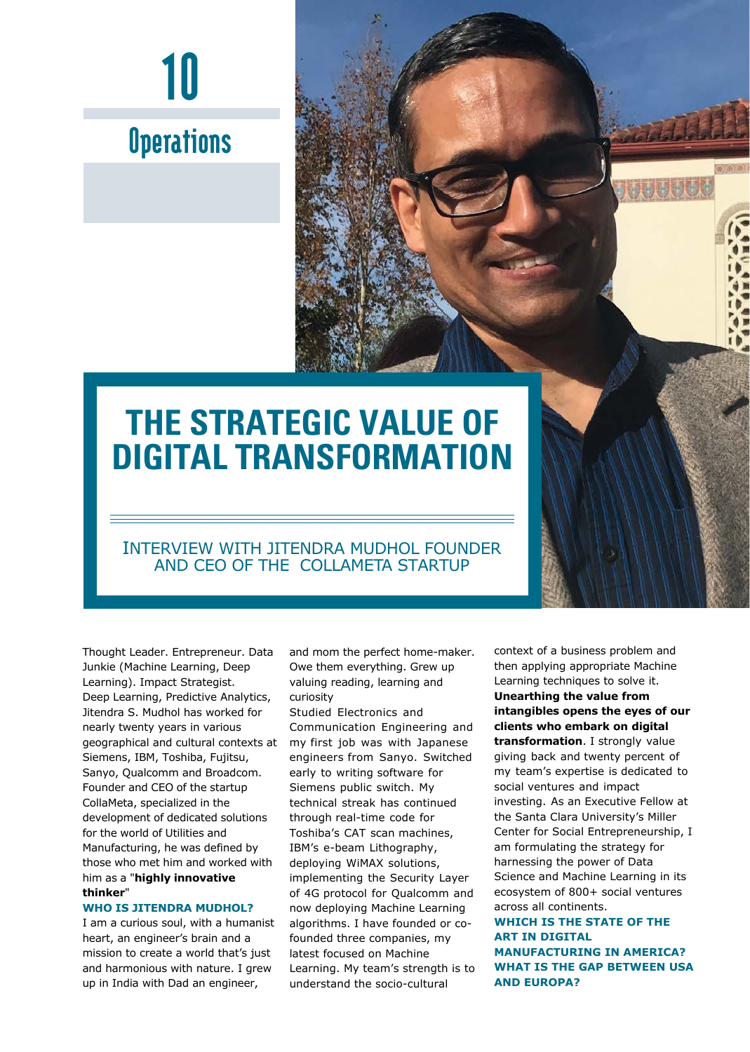

### **Operations**

## **THE STRATEGIC VALUE OF DIGITAL TRANSFORMATION**

#### INTERVIEW WITH JITENDRA MUDHOL FOUNDER AND CEO OF THE COLLAMETA STARTUP

Thought Leader. Entrepreneur. Data Junkie (Machine Learning, Deep Learning). Impact Strategist. Deep Learning, Predictive Analytics, Jitendra S. Mudhol has worked for nearly twenty years in various geographical and cultural contexts at Siemens, IBM, Toshiba, Fujitsu, Sanyo, Qualcomm and Broadcom. Founder and CEO of the startup CollaMeta, specialized in the development of dedicated solutions for the world of Utilities and Manufacturing, he was defined by those who met him and worked with him as a "**highly innovative thinker**"

#### **WHO IS JITENDRA MUDHOL?**

I am a curious soul, with a humanist heart, an engineer's brain and a mission to create a world that's just and harmonious with nature. I grew up in India with Dad an engineer,

and mom the perfect home-maker. Owe them everything. Grew up valuing reading, learning and curiosity

Studied Electronics and Communication Engineering and my first job was with Japanese engineers from Sanyo. Switched early to writing software for Siemens public switch. My technical streak has continued through real-time code for Toshiba's CAT scan machines, IBM's e-beam Lithography, deploying WiMAX solutions, implementing the Security Layer of 4G protocol for Qualcomm and now deploying Machine Learning algorithms. I have founded or cofounded three companies, my latest focused on Machine Learning. My team's strength is to understand the socio-cultural

context of a business problem and then applying appropriate Machine Learning techniques to solve it. **Unearthing the value from intangibles opens the eyes of our clients who embark on digital transformation**. I strongly value giving back and twenty percent of my team's expertise is dedicated to social ventures and impact investing. As an Executive Fellow at the Santa Clara University's Miller Center for Social Entrepreneurship, I am formulating the strategy for harnessing the power of Data Science and Machine Learning in its ecosystem of 800+ social ventures across all continents.

**WHICH IS THE STATE OF THE ART IN DIGITAL MANUFACTURING IN AMERICA? WHAT IS THE GAP BETWEEN USA AND EUROPA?**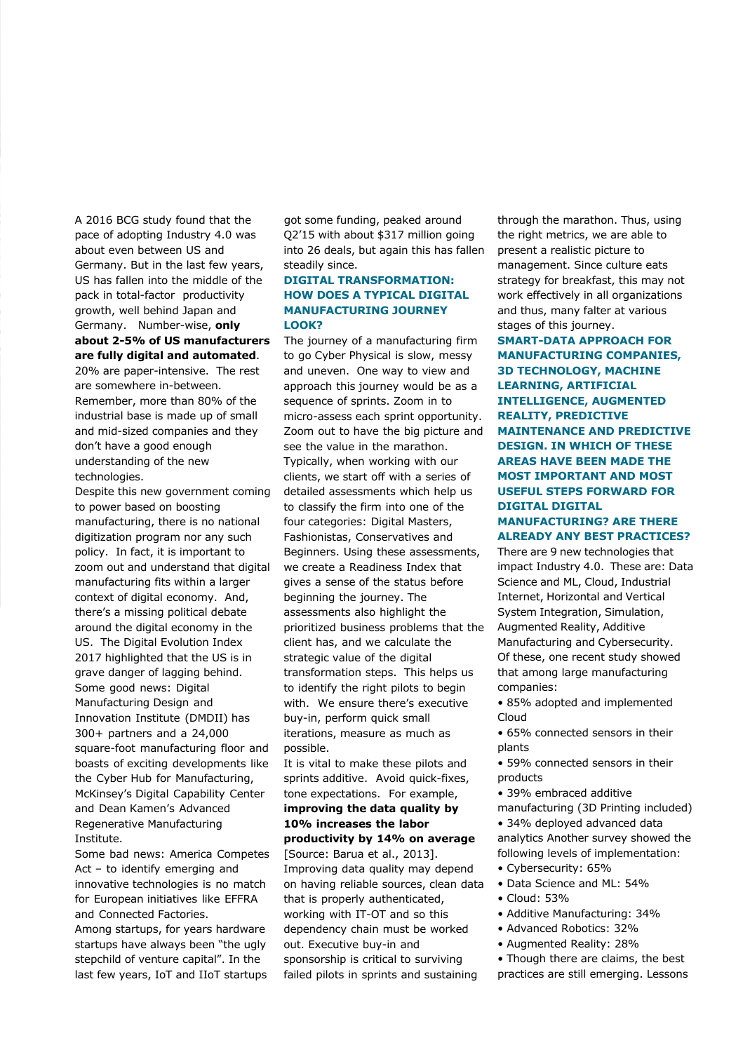A 2016 BCG study found that the pace of adopting Industry 4.0 was about even between US and Germany. But in the last few years, US has fallen into the middle of the pack in total-factor productivity growth, well behind Japan and Germany. Number-wise, **only about 2-5% of US manufacturers are fully digital and automated**.

20% are paper-intensive. The rest are somewhere in-between. Remember, more than 80% of the industrial base is made up of small and mid-sized companies and they don't have a good enough understanding of the new technologies.

Despite this new government coming to power based on boosting manufacturing, there is no national digitization program nor any such policy. In fact, it is important to zoom out and understand that digital manufacturing fits within a larger context of digital economy. And, there's a missing political debate around the digital economy in the US. The Digital Evolution Index 2017 highlighted that the US is in grave danger of lagging behind. Some good news: Digital Manufacturing Design and Innovation Institute (DMDII) has 300+ partners and a 24,000 square-foot manufacturing floor and boasts of exciting developments like the Cyber Hub for Manufacturing, McKinsey's Digital Capability Center and Dean Kamen's Advanced Regenerative Manufacturing Institute.

Some bad news: America Competes Act - to identify emerging and innovative technologies is no match for European initiatives like EFFRA and Connected Factories.

Among startups, for years hardware startups have always been "the ugly stepchild of venture capital". In the last few years, IoT and IIoT startups got some funding, peaked around Q2'15 with about \$317 million going into 26 deals, but again this has fallen steadily since.

#### **DIGITAL TRANSFORMATION: HOW DOES A TYPICAL DIGITAL MANUFACTURING JOURNEY LOOK?**

The journey of a manufacturing firm to go Cyber Physical is slow, messy and uneven. One way to view and approach this journey would be as a sequence of sprints. Zoom in to micro-assess each sprint opportunity. Zoom out to have the big picture and see the value in the marathon. Typically, when working with our clients, we start off with a series of detailed assessments which help us to classify the firm into one of the four categories: Digital Masters, Fashionistas, Conservatives and Beginners. Using these assessments, we create a Readiness Index that gives a sense of the status before beginning the journey. The assessments also highlight the prioritized business problems that the client has, and we calculate the strategic value of the digital transformation steps. This helps us to identify the right pilots to begin with. We ensure there's executive buy-in, perform quick small iterations, measure as much as possible.

It is vital to make these pilots and sprints additive. Avoid quick-fixes, tone expectations. For example, **improving the data quality by 10% increases the labor productivity by 14% on average** [Source: Barua et al., 2013]. Improving data quality may depend on having reliable sources, clean data that is properly authenticated, working with IT-OT and so this dependency chain must be worked out. Executive buy-in and sponsorship is critical to surviving failed pilots in sprints and sustaining

through the marathon. Thus, using the right metrics, we are able to present a realistic picture to management. Since culture eats strategy for breakfast, this may not work effectively in all organizations and thus, many falter at various stages of this journey.

**SMART-DATA APPROACH FOR MANUFACTURING COMPANIES, 3D TECHNOLOGY, MACHINE LEARNING, ARTIFICIAL INTELLIGENCE, AUGMENTED REALITY, PREDICTIVE MAINTENANCE AND PREDICTIVE DESIGN. IN WHICH OF THESE AREAS HAVE BEEN MADE THE MOST IMPORTANT AND MOST USEFUL STEPS FORWARD FOR DIGITAL DIGITAL** 

#### **MANUFACTURING? ARE THERE ALREADY ANY BEST PRACTICES?**

There are 9 new technologies that impact Industry 4.0. These are: Data Science and ML, Cloud, Industrial Internet, Horizontal and Vertical System Integration, Simulation, Augmented Reality, Additive Manufacturing and Cybersecurity. Of these, one recent study showed that among large manufacturing companies:

• 85% adopted and implemented Cloud

• 65% connected sensors in their plants

• 59% connected sensors in their products

- 39% embraced additive
- manufacturing (3D Printing included)

• 34% deployed advanced data analytics Another survey showed the following levels of implementation:

- Cybersecurity: 65%
- Data Science and ML: 54%
- Cloud: 53%
- Additive Manufacturing: 34%
- Advanced Robotics: 32%
- Augmented Reality: 28%
- Though there are claims, the best
- practices are still emerging. Lessons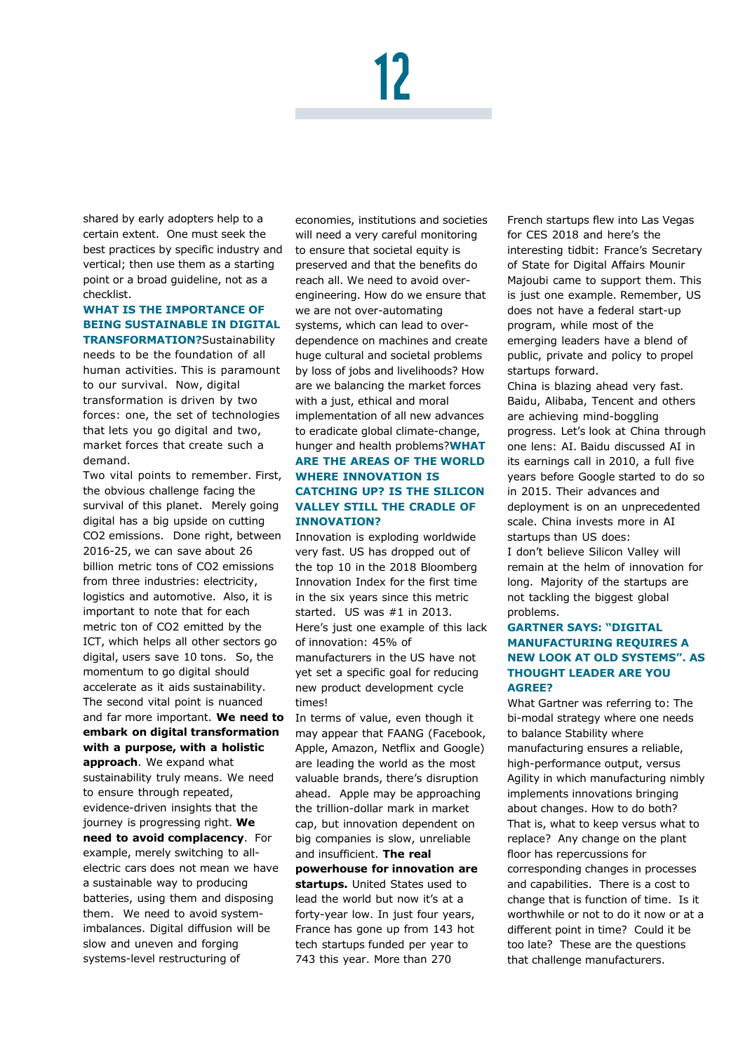# 12

shared by early adopters help to a certain extent. One must seek the best practices by specific industry and vertical; then use them as a starting point or a broad guideline, not as a checklist.

#### **WHAT IS THE IMPORTANCE OF BEING SUSTAINABLE IN DIGITAL TRANSFORMATION?**Sustainability

needs to be the foundation of all human activities. This is paramount to our survival. Now, digital transformation is driven by two forces: one, the set of technologies that lets you go digital and two, market forces that create such a demand.

Two vital points to remember. First, the obvious challenge facing the survival of this planet. Merely going digital has a big upside on cutting CO2 emissions. Done right, between 2016-25, we can save about 26 billion metric tons of CO2 emissions from three industries: electricity, logistics and automotive. Also, it is important to note that for each metric ton of CO2 emitted by the ICT, which helps all other sectors go digital, users save 10 tons. So, the momentum to go digital should accelerate as it aids sustainability. The second vital point is nuanced and far more important. **We need to embark on digital transformation with a purpose, with a holistic** 

**approach**. We expand what sustainability truly means. We need to ensure through repeated, evidence-driven insights that the journey is progressing right. **We need to avoid complacency**. For example, merely switching to allelectric cars does not mean we have a sustainable way to producing batteries, using them and disposing them. We need to avoid systemimbalances. Digital diffusion will be slow and uneven and forging systems-level restructuring of

economies, institutions and societies will need a very careful monitoring to ensure that societal equity is preserved and that the benefits do reach all. We need to avoid overengineering. How do we ensure that we are not over-automating systems, which can lead to overdependence on machines and create huge cultural and societal problems by loss of jobs and livelihoods? How are we balancing the market forces with a just, ethical and moral implementation of all new advances to eradicate global climate-change, hunger and health problems?**WHAT ARE THE AREAS OF THE WORLD WHERE INNOVATION IS CATCHING UP? IS THE SILICON VALLEY STILL THE CRADLE OF INNOVATION?**

Innovation is exploding worldwide very fast. US has dropped out of the top 10 in the 2018 Bloomberg Innovation Index for the first time in the six years since this metric started. US was #1 in 2013. Here's just one example of this lack of innovation: 45% of manufacturers in the US have not yet set a specific goal for reducing new product development cycle times!

In terms of value, even though it may appear that FAANG (Facebook, Apple, Amazon, Netflix and Google) are leading the world as the most valuable brands, there's disruption ahead. Apple may be approaching the trillion-dollar mark in market cap, but innovation dependent on big companies is slow, unreliable and insufficient. **The real** 

**powerhouse for innovation are startups.** United States used to lead the world but now it's at a forty-year low. In just four years, France has gone up from 143 hot tech startups funded per year to 743 this year. More than 270

French startups flew into Las Vegas for CES 2018 and here's the interesting tidbit: France's Secretary of State for Digital Affairs Mounir Majoubi came to support them. This is just one example. Remember, US does not have a federal start-up program, while most of the emerging leaders have a blend of public, private and policy to propel startups forward.

China is blazing ahead very fast. Baidu, Alibaba, Tencent and others are achieving mind-boggling progress. Let's look at China through one lens: AI. Baidu discussed AI in its earnings call in 2010, a full five years before Google started to do so in 2015. Their advances and deployment is on an unprecedented scale. China invests more in AI startups than US does:

I don't believe Silicon Valley will remain at the helm of innovation for long. Majority of the startups are not tackling the biggest global problems.

#### **GARTNER SAYS: "DIGITAL MANUFACTURING REQUIRES A NEW LOOK AT OLD SYSTEMS". AS THOUGHT LEADER ARE YOU AGREE?**

What Gartner was referring to: The bi-modal strategy where one needs to balance Stability where manufacturing ensures a reliable, high-performance output, versus Agility in which manufacturing nimbly implements innovations bringing about changes. How to do both? That is, what to keep versus what to replace? Any change on the plant floor has repercussions for corresponding changes in processes and capabilities. There is a cost to change that is function of time. Is it worthwhile or not to do it now or at a different point in time? Could it be too late? These are the questions that challenge manufacturers.